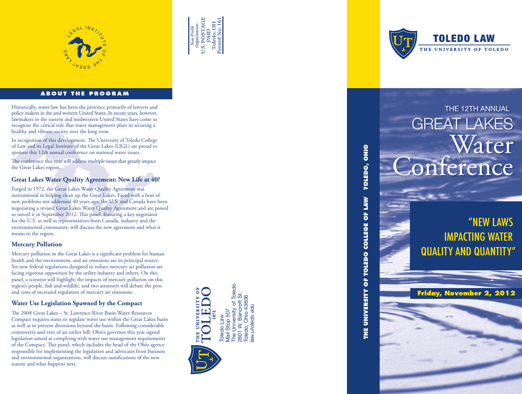



# **ABOUT THE PROGRAM**

THE 12TH ANNUAL Historically, water law has been the province primarily of lawyers and policy makers in the arid western United States. In recent years, however, lawmakers in the eastern and midwestern United States have come to recognize the critical role that water management plays in securing a healthy and vibrant society over the long term.

In recognition of this development, The University of Toledo College of Law and its Legal Institute of the Great Lakes (LIGL) are proud to sponsor this 12th annual conference on national water issues.

The conference this year will address multiple issues that greatly impact the Great Lakes region.

# **Great Lakes Water Quality Agreement: New Life at 40?**

Forged in 1972, the Great Lakes Water Quality Agreement was instrumental in helping clean up the Great Lakes. Faced with a host of new problems not addressed 40 years ago, the U.S. and Canada have been negotiating a revised Great Lakes Water Quality Agreement and are poised to unveil it in September 2012. This panel, featuring a key negotiator for the U.S. as well as representatives from Canada, industry and the environmental community, will discuss the new agreement and what it means to the region.

### **Mercury Pollution**

Mercury pollution in the Great Lakes is a significant problem for human health and the environment, and air emissions are its principal source. Yet new federal regulations designed to reduce mercury air pollution are facing vigorous opposition by the utility industry and others. On this panel, a scientist will highlight the impacts of mercury pollution on this region's people, fish and wildlife, and two attorneys will debate the pros and cons of increased regulation of mercury air emissions.

### **Water Use Legislation Spawned by the Compact**

The 2008 Great Lakes – St. Lawrence River Basin Water Resources Compact requires states to regulate water use within the Great Lakes basin as well as to prevent diversions beyond the basin. Following considerable controversy and veto of an earlier bill, Ohio's governor this year signed legislation aimed at complying with water use management requirements of the Compact. This panel, which includes the head of the Ohio agency responsible for implementing the legislation and advocates from business and environmental organizations, will discuss ramifications of the new statute and what happens next.





# GREAT LAKES Water **Conference**

# "NEW LAWS IMPACTING WATER QUALITY AND QUANTITY"

**THE UNIVERSITY OF TOLEDO COLLEGE OF LAW TOLEDO, OHIO**

THE UNIVERSITY OF TOLEDO COLLEGE OF

TOLEDO, OHIO

**MAN** 

**Friday, November 2, 2012**